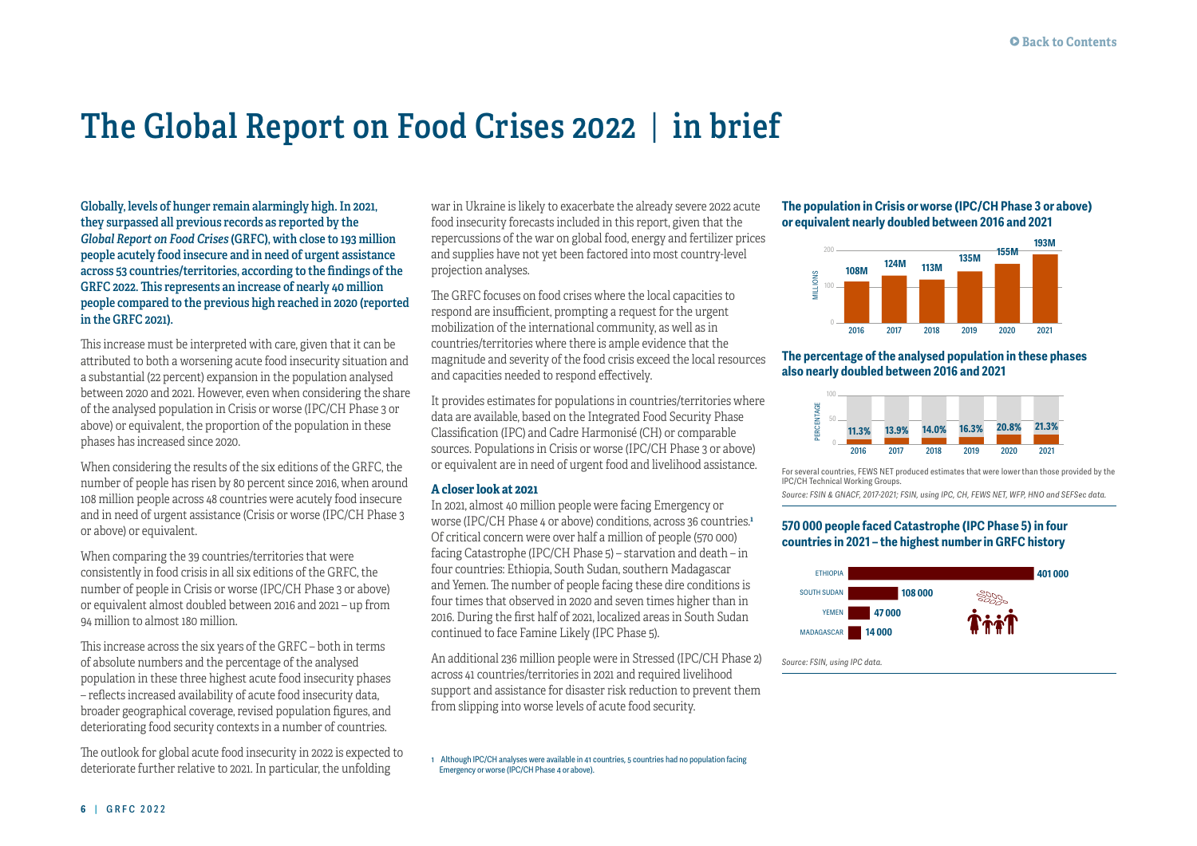# **The Global Report on Food Crises 2022** | **in brief**

**Globally, levels of hunger remain alarmingly high. In 2021, they surpassed all previous records as reported by the**  *Global Report on Food Crises* **(GRFC), with close to 193 million people acutely food insecure and in need of urgent assistance across 53 countries/territories, according to the findings of the GRFC 2022. This represents an increase of nearly 40 million people compared to the previous high reached in 2020 (reported in the GRFC 2021).** 

This increase must be interpreted with care, given that it can be attributed to both a worsening acute food insecurity situation and a substantial (22 percent) expansion in the population analysed between 2020 and 2021. However, even when considering the share of the analysed population in Crisis or worse (IPC/CH Phase 3 or above) or equivalent, the proportion of the population in these phases has increased since 2020.

When considering the results of the six editions of the GRFC, the number of people has risen by 80 percent since 2016, when around 108 million people across 48 countries were acutely food insecure and in need of urgent assistance (Crisis or worse (IPC/CH Phase 3 or above) or equivalent.

When comparing the 39 countries/territories that were consistently in food crisis in all six editions of the GRFC, the number of people in Crisis or worse (IPC/CH Phase 3 or above) or equivalent almost doubled between 2016 and 2021 – up from 94 million to almost 180 million.

This increase across the six years of the GRFC – both in terms of absolute numbers and the percentage of the analysed population in these three highest acute food insecurity phases – reflects increased availability of acute food insecurity data, broader geographical coverage, revised population figures, and deteriorating food security contexts in a number of countries.

The outlook for global acute food insecurity in 2022 is expected to deteriorate further relative to 2021. In particular, the unfolding

war in Ukraine is likely to exacerbate the already severe 2022 acute food insecurity forecasts included in this report, given that the repercussions of the war on global food, energy and fertilizer prices and supplies have not yet been factored into most country-level projection analyses.

The GRFC focuses on food crises where the local capacities to respond are insufficient, prompting a request for the urgent mobilization of the international community, as well as in countries/territories where there is ample evidence that the magnitude and severity of the food crisis exceed the local resources and capacities needed to respond effectively.

It provides estimates for populations in countries/territories where data are available, based on the Integrated Food Security Phase Classification (IPC) and Cadre Harmonisé (CH) or comparable sources. Populations in Crisis or worse (IPC/CH Phase 3 or above) or equivalent are in need of urgent food and livelihood assistance.

#### **A closer look at 2021**

In 2021, almost 40 million people were facing Emergency or worse (IPC/CH Phase 4 or above) conditions, across 36 countries.**<sup>1</sup>** Of critical concern were over half a million of people (570 000) facing Catastrophe (IPC/CH Phase 5) – starvation and death – in four countries: Ethiopia, South Sudan, southern Madagascar and Yemen. The number of people facing these dire conditions is four times that observed in 2020 and seven times higher than in 2016. During the first half of 2021, localized areas in South Sudan continued to face Famine Likely (IPC Phase 5).

An additional 236 million people were in Stressed (IPC/CH Phase 2) across 41 countries/territories in 2021 and required livelihood support and assistance for disaster risk reduction to prevent them from slipping into worse levels of acute food security.

1 Although IPC/CH analyses were available in 41 countries, 5 countries had no population facing Emergency or worse (IPC/CH Phase 4 or above).

## **The population in Crisis or worse (IPC/CH Phase 3 or above) or equivalent nearly doubled between 2016 and 2021**



#### **The percentage of the analysed population in these phases also nearly doubled between 2016 and 2021**



For several countries, FEWS NET produced estimates that were lower than those provided by the IPC/CH Technical Working Groups.

*Source: FSIN & GNACF, 2017-2021; FSIN, using IPC, CH, FEWS NET, WFP, HNO and SEFSec data.* 

## **570 000 people faced Catastrophe (IPC Phase 5) in four countries in 2021 – the highest number in GRFC history**



*Source: FSIN, using IPC data.*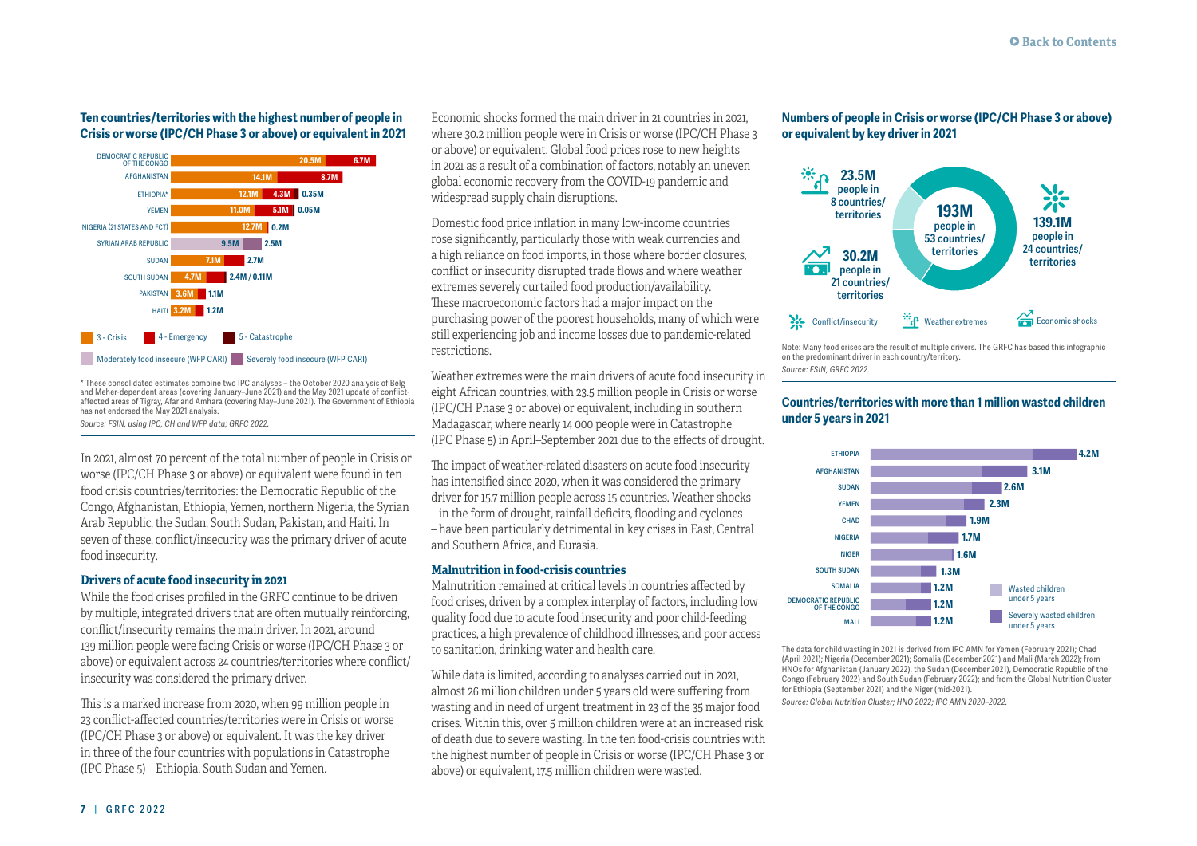#### **Ten countries/territories with the highest number of people in Crisis or worse (IPC/CH Phase 3 or above) or equivalent in 2021**



\* These consolidated estimates combine two IPC analyses – the October 2020 analysis of Belg and Meher-dependent areas (covering January–June 2021) and the May 2021 update of conflictaffected areas of Tigray, Afar and Amhara (covering May–June 2021). The Government of Ethiopia has not endorsed the May 2021 analysis.

*Source: FSIN, using IPC, CH and WFP data; GRFC 2022.*

In 2021, almost 70 percent of the total number of people in Crisis or worse (IPC/CH Phase 3 or above) or equivalent were found in ten food crisis countries/territories: the Democratic Republic of the Congo, Afghanistan, Ethiopia, Yemen, northern Nigeria, the Syrian Arab Republic, the Sudan, South Sudan, Pakistan, and Haiti. In seven of these, conflict/insecurity was the primary driver of acute food insecurity.

## **Drivers of acute food insecurity in 2021**

While the food crises profiled in the GRFC continue to be driven by multiple, integrated drivers that are often mutually reinforcing, conflict/insecurity remains the main driver. In 2021, around 139 million people were facing Crisis or worse (IPC/CH Phase 3 or above) or equivalent across 24 countries/territories where conflict/ insecurity was considered the primary driver.

This is a marked increase from 2020, when 99 million people in 23 conflict-affected countries/territories were in Crisis or worse (IPC/CH Phase 3 or above) or equivalent. It was the key driver in three of the four countries with populations in Catastrophe (IPC Phase 5) – Ethiopia, South Sudan and Yemen.

Economic shocks formed the main driver in 21 countries in 2021, where 30.2 million people were in Crisis or worse (IPC/CH Phase 3 or above) or equivalent. Global food prices rose to new heights in 2021 as a result of a combination of factors, notably an uneven global economic recovery from the COVID-19 pandemic and widespread supply chain disruptions.

Domestic food price inflation in many low-income countries rose significantly, particularly those with weak currencies and a high reliance on food imports, in those where border closures, conflict or insecurity disrupted trade flows and where weather extremes severely curtailed food production/availability. These macroeconomic factors had a major impact on the purchasing power of the poorest households, many of which were still experiencing job and income losses due to pandemic-related restrictions.

Weather extremes were the main drivers of acute food insecurity in eight African countries, with 23.5 million people in Crisis or worse (IPC/CH Phase 3 or above) or equivalent, including in southern Madagascar, where nearly 14 000 people were in Catastrophe (IPC Phase 5) in April–September 2021 due to the effects of drought.

The impact of weather-related disasters on acute food insecurity has intensified since 2020, when it was considered the primary driver for 15.7 million people across 15 countries. Weather shocks – in the form of drought, rainfall deficits, flooding and cyclones – have been particularly detrimental in key crises in East, Central and Southern Africa, and Eurasia.

## **Malnutrition in food-crisis countries**

Malnutrition remained at critical levels in countries affected by food crises, driven by a complex interplay of factors, including low quality food due to acute food insecurity and poor child-feeding practices, a high prevalence of childhood illnesses, and poor access to sanitation, drinking water and health care.

While data is limited, according to analyses carried out in 2021, almost 26 million children under 5 years old were suffering from wasting and in need of urgent treatment in 23 of the 35 major food crises. Within this, over 5 million children were at an increased risk of death due to severe wasting. In the ten food-crisis countries with the highest number of people in Crisis or worse (IPC/CH Phase 3 or above) or equivalent, 17.5 million children were wasted.

## **Numbers of people in Crisis or worse (IPC/CH Phase 3 or above) or equivalent by key driver in 2021**



Note: Many food crises are the result of multiple drivers. The GRFC has based this infographic on the predominant driver in each country/territory. *Source: FSIN, GRFC 2022.*

## **Countries/territories with more than 1 million wasted children under 5 years in 2021**



The data for child wasting in 2021 is derived from IPC AMN for Yemen (February 2021); Chad (April 2021); Nigeria (December 2021); Somalia (December 2021) and Mali (March 2022); from HNOs for Afghanistan (January 2022), the Sudan (December 2021), Democratic Republic of the Congo (February 2022) and South Sudan (February 2022); and from the Global Nutrition Cluster for Ethiopia (September 2021) and the Niger (mid-2021).

*Source: Global Nutrition Cluster; HNO 2022; IPC AMN 2020–2022.*